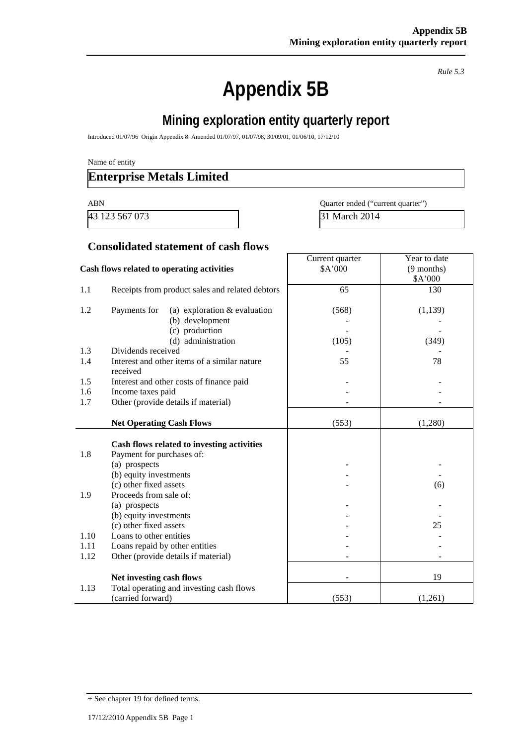*Rule 5.3*

# **Appendix 5B**

# **Mining exploration entity quarterly report**

Introduced 01/07/96 Origin Appendix 8 Amended 01/07/97, 01/07/98, 30/09/01, 01/06/10, 17/12/10

Name of entity

### **Enterprise Metals Limited**

43 123 567 073 31 March 2014

ABN Quarter ended ("current quarter")

#### **Consolidated statement of cash flows**

|                                            |                                                 | Current quarter | Year to date |
|--------------------------------------------|-------------------------------------------------|-----------------|--------------|
| Cash flows related to operating activities |                                                 | \$A'000         | $(9$ months) |
|                                            |                                                 |                 | \$A'000      |
| 1.1                                        | Receipts from product sales and related debtors | 65              | 130          |
|                                            |                                                 |                 |              |
| 1.2                                        | Payments for<br>(a) exploration $&$ evaluation  | (568)           | (1,139)      |
|                                            | (b) development                                 |                 |              |
|                                            | (c) production                                  |                 |              |
|                                            | (d) administration                              | (105)           | (349)        |
| 1.3                                        | Dividends received                              |                 |              |
| 1.4                                        | Interest and other items of a similar nature    | 55              | 78           |
|                                            | received                                        |                 |              |
| 1.5                                        | Interest and other costs of finance paid        |                 |              |
| 1.6                                        | Income taxes paid                               |                 |              |
| 1.7                                        | Other (provide details if material)             |                 |              |
|                                            |                                                 |                 |              |
|                                            | <b>Net Operating Cash Flows</b>                 | (553)           | (1,280)      |
|                                            |                                                 |                 |              |
|                                            | Cash flows related to investing activities      |                 |              |
| 1.8                                        | Payment for purchases of:                       |                 |              |
|                                            | (a) prospects                                   |                 |              |
|                                            | (b) equity investments                          |                 |              |
|                                            | (c) other fixed assets                          |                 | (6)          |
| 1.9                                        | Proceeds from sale of:                          |                 |              |
|                                            | (a) prospects                                   |                 |              |
|                                            | (b) equity investments                          |                 |              |
|                                            | (c) other fixed assets                          |                 | 25           |
| 1.10                                       | Loans to other entities                         |                 |              |
| 1.11                                       | Loans repaid by other entities                  |                 |              |
| 1.12                                       | Other (provide details if material)             |                 |              |
|                                            |                                                 |                 |              |
|                                            | Net investing cash flows                        |                 | 19           |
| 1.13                                       | Total operating and investing cash flows        |                 |              |
|                                            | (carried forward)                               | (553)           | (1,261)      |

<sup>+</sup> See chapter 19 for defined terms.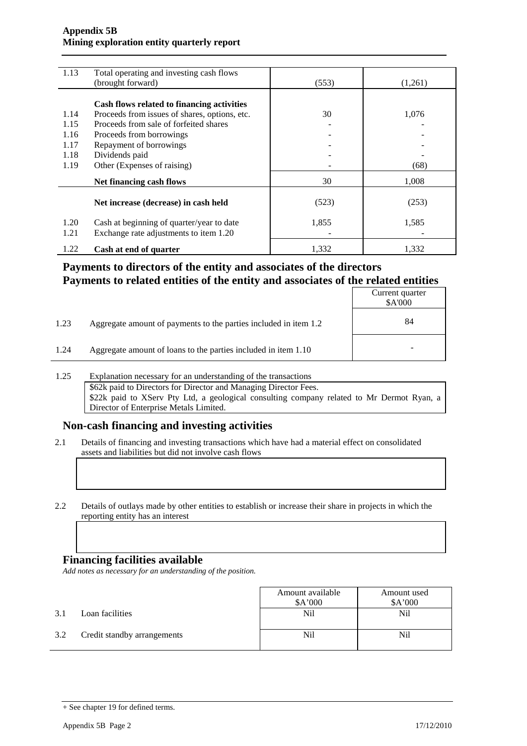#### **Appendix 5B Mining exploration entity quarterly report**

| 1.13 | Total operating and investing cash flows<br>(brought forward) | (553) | (1,261) |
|------|---------------------------------------------------------------|-------|---------|
|      |                                                               |       |         |
|      | Cash flows related to financing activities                    |       |         |
| 1.14 | Proceeds from issues of shares, options, etc.                 | 30    | 1,076   |
| 1.15 | Proceeds from sale of forfeited shares                        |       |         |
| 1.16 | Proceeds from borrowings                                      |       |         |
| 1.17 | Repayment of borrowings                                       |       |         |
| 1.18 | Dividends paid                                                |       |         |
| 1.19 | Other (Expenses of raising)                                   |       | (68)    |
|      | Net financing cash flows                                      | 30    | 1,008   |
|      | Net increase (decrease) in cash held                          | (523) | (253)   |
|      |                                                               |       |         |
| 1.20 | Cash at beginning of quarter/year to date                     | 1,855 | 1,585   |
| 1.21 | Exchange rate adjustments to item 1.20                        |       |         |
| 1.22 | Cash at end of quarter                                        | 1.332 | 1,332   |

### **Payments to directors of the entity and associates of the directors Payments to related entities of the entity and associates of the related entities**

|      |                                                                  | Current quarter<br>\$A'000 |
|------|------------------------------------------------------------------|----------------------------|
| 1.23 | Aggregate amount of payments to the parties included in item 1.2 | 84                         |
| 1.24 | Aggregate amount of loans to the parties included in item 1.10   | $\overline{\phantom{a}}$   |

1.25 Explanation necessary for an understanding of the transactions \$62k paid to Directors for Director and Managing Director Fees. \$22k paid to XServ Pty Ltd, a geological consulting company related to Mr Dermot Ryan, a Director of Enterprise Metals Limited.

### **Non-cash financing and investing activities**

- 2.1 Details of financing and investing transactions which have had a material effect on consolidated assets and liabilities but did not involve cash flows
- 2.2 Details of outlays made by other entities to establish or increase their share in projects in which the reporting entity has an interest

#### **Financing facilities available**

*Add notes as necessary for an understanding of the position.*

|     |                             | Amount available | Amount used |
|-----|-----------------------------|------------------|-------------|
|     |                             | \$A'000          | \$A'000     |
| 3.1 | Loan facilities             | Nil              | Nil         |
| 3.2 | Credit standby arrangements | Nil              | Nil         |

<sup>+</sup> See chapter 19 for defined terms.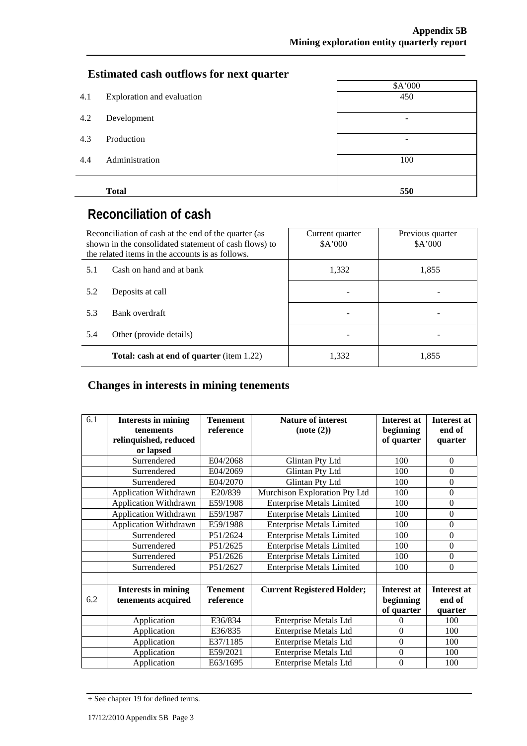### **Estimated cash outflows for next quarter**

|     |                            | \$A'000         |
|-----|----------------------------|-----------------|
| 4.1 | Exploration and evaluation | 450             |
|     |                            |                 |
| 4.2 | Development                | $\qquad \qquad$ |
|     |                            |                 |
| 4.3 | Production                 |                 |
|     |                            |                 |
| 4.4 | Administration             | 100             |
|     |                            |                 |
|     |                            |                 |
|     | <b>Total</b>               | 550             |

# **Reconciliation of cash**

| Reconciliation of cash at the end of the quarter (as<br>shown in the consolidated statement of cash flows) to<br>the related items in the accounts is as follows. |                                                  | Current quarter<br>A'000 | Previous quarter<br>\$A'000 |
|-------------------------------------------------------------------------------------------------------------------------------------------------------------------|--------------------------------------------------|--------------------------|-----------------------------|
| 5.1                                                                                                                                                               | Cash on hand and at bank                         | 1,332                    | 1,855                       |
| 5.2                                                                                                                                                               | Deposits at call                                 |                          |                             |
| 5.3                                                                                                                                                               | Bank overdraft                                   |                          |                             |
| 5.4                                                                                                                                                               | Other (provide details)                          |                          |                             |
|                                                                                                                                                                   | <b>Total: cash at end of quarter</b> (item 1.22) | 1,332                    | 1,855                       |

# **Changes in interests in mining tenements**

| 6.1 | <b>Interests in mining</b><br><b>tenements</b> | <b>Tenement</b><br>reference | <b>Nature of interest</b><br>$Note (2)$ | <b>Interest at</b><br>beginning | <b>Interest at</b><br>end of |
|-----|------------------------------------------------|------------------------------|-----------------------------------------|---------------------------------|------------------------------|
|     | relinquished, reduced                          |                              |                                         | of quarter                      |                              |
|     | or lapsed                                      |                              |                                         |                                 |                              |
|     | Surrendered                                    | E04/2068                     | Glintan Pty Ltd                         | 100                             | $\mathbf{0}$                 |
|     | Surrendered                                    | E04/2069                     | Glintan Pty Ltd                         | 100                             | $\mathbf{0}$                 |
|     | Surrendered                                    | E04/2070                     | Glintan Pty Ltd                         | 100                             | $\theta$                     |
|     | Application Withdrawn                          | E20/839                      | Murchison Exploration Pty Ltd           | 100                             | $\mathbf{0}$                 |
|     | <b>Application Withdrawn</b>                   | E59/1908                     | <b>Enterprise Metals Limited</b>        | 100                             | $\mathbf{0}$                 |
|     | <b>Application Withdrawn</b>                   | E59/1987                     | <b>Enterprise Metals Limited</b>        | 100                             | $\theta$                     |
|     | <b>Application Withdrawn</b>                   | E59/1988                     | <b>Enterprise Metals Limited</b>        | 100                             | $\theta$                     |
|     | Surrendered                                    | P51/2624                     | <b>Enterprise Metals Limited</b>        | 100                             | $\mathbf{0}$                 |
|     | Surrendered                                    | P51/2625                     | <b>Enterprise Metals Limited</b>        | 100                             | $\theta$                     |
|     | Surrendered                                    | P51/2626                     | <b>Enterprise Metals Limited</b>        | 100                             | $\theta$                     |
|     | Surrendered                                    | P51/2627                     | <b>Enterprise Metals Limited</b>        | 100                             | $\theta$                     |
|     |                                                |                              |                                         |                                 |                              |
|     | <b>Interests in mining</b>                     | <b>Tenement</b>              | <b>Current Registered Holder;</b>       | <b>Interest at</b>              | <b>Interest at</b>           |
| 6.2 | tenements acquired                             | reference                    |                                         | beginning                       | end of                       |
|     |                                                |                              |                                         | of quarter                      | quarter                      |
|     | Application                                    | E36/834                      | <b>Enterprise Metals Ltd</b>            | $\theta$                        | 100                          |
|     | Application                                    | E36/835                      | <b>Enterprise Metals Ltd</b>            | $\theta$                        | 100                          |
|     | Application                                    | E37/1185                     | <b>Enterprise Metals Ltd</b>            | $\theta$                        | 100                          |
|     | Application                                    | E59/2021                     | <b>Enterprise Metals Ltd</b>            | $\boldsymbol{0}$                | 100                          |
|     | Application                                    | E63/1695                     | <b>Enterprise Metals Ltd</b>            | $\overline{0}$                  | 100                          |

<sup>+</sup> See chapter 19 for defined terms.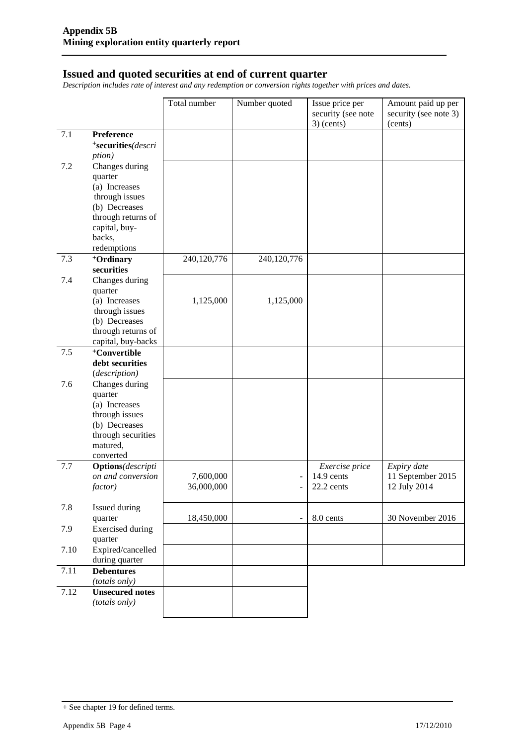#### **Issued and quoted securities at end of current quarter**

*Description includes rate of interest and any redemption or conversion rights together with prices and dates.*

|      |                                     | Total number | Number quoted            | Issue price per<br>security (see note<br>$3)$ (cents) | Amount paid up per<br>security (see note 3)<br>(cents) |
|------|-------------------------------------|--------------|--------------------------|-------------------------------------------------------|--------------------------------------------------------|
| 7.1  | Preference                          |              |                          |                                                       |                                                        |
|      | *securities(descri                  |              |                          |                                                       |                                                        |
|      | <i>ption</i> )                      |              |                          |                                                       |                                                        |
| 7.2  | Changes during                      |              |                          |                                                       |                                                        |
|      | quarter                             |              |                          |                                                       |                                                        |
|      | (a) Increases                       |              |                          |                                                       |                                                        |
|      | through issues                      |              |                          |                                                       |                                                        |
|      | (b) Decreases                       |              |                          |                                                       |                                                        |
|      | through returns of                  |              |                          |                                                       |                                                        |
|      | capital, buy-                       |              |                          |                                                       |                                                        |
|      | backs,                              |              |                          |                                                       |                                                        |
|      | redemptions                         |              |                          |                                                       |                                                        |
| 7.3  | <sup>+</sup> Ordinary               | 240,120,776  | 240,120,776              |                                                       |                                                        |
|      | securities                          |              |                          |                                                       |                                                        |
| 7.4  | Changes during<br>quarter           |              |                          |                                                       |                                                        |
|      | (a) Increases                       | 1,125,000    | 1,125,000                |                                                       |                                                        |
|      | through issues                      |              |                          |                                                       |                                                        |
|      | (b) Decreases                       |              |                          |                                                       |                                                        |
|      | through returns of                  |              |                          |                                                       |                                                        |
|      | capital, buy-backs                  |              |                          |                                                       |                                                        |
| 7.5  | <sup>+</sup> Convertible            |              |                          |                                                       |                                                        |
|      | debt securities                     |              |                          |                                                       |                                                        |
|      | (description)                       |              |                          |                                                       |                                                        |
| 7.6  | Changes during                      |              |                          |                                                       |                                                        |
|      | quarter                             |              |                          |                                                       |                                                        |
|      | (a) Increases                       |              |                          |                                                       |                                                        |
|      | through issues                      |              |                          |                                                       |                                                        |
|      | (b) Decreases<br>through securities |              |                          |                                                       |                                                        |
|      | matured,                            |              |                          |                                                       |                                                        |
|      | converted                           |              |                          |                                                       |                                                        |
| 7.7  | <b>Options</b> (descripti           |              |                          | Exercise price                                        | Expiry date                                            |
|      | on and conversion                   | 7,600,000    |                          | 14.9 cents                                            | 11 September 2015                                      |
|      | factor)                             | 36,000,000   | $\overline{\phantom{0}}$ | 22.2 cents                                            | 12 July 2014                                           |
|      |                                     |              |                          |                                                       |                                                        |
| 7.8  | Issued during                       |              |                          |                                                       |                                                        |
|      | quarter                             | 18,450,000   |                          | 8.0 cents                                             | 30 November 2016                                       |
| 7.9  | <b>Exercised</b> during             |              |                          |                                                       |                                                        |
|      | quarter                             |              |                          |                                                       |                                                        |
| 7.10 | Expired/cancelled<br>during quarter |              |                          |                                                       |                                                        |
| 7.11 | <b>Debentures</b>                   |              |                          |                                                       |                                                        |
|      | (totals only)                       |              |                          |                                                       |                                                        |
| 7.12 | <b>Unsecured notes</b>              |              |                          |                                                       |                                                        |
|      | (totals only)                       |              |                          |                                                       |                                                        |
|      |                                     |              |                          |                                                       |                                                        |

<sup>+</sup> See chapter 19 for defined terms.